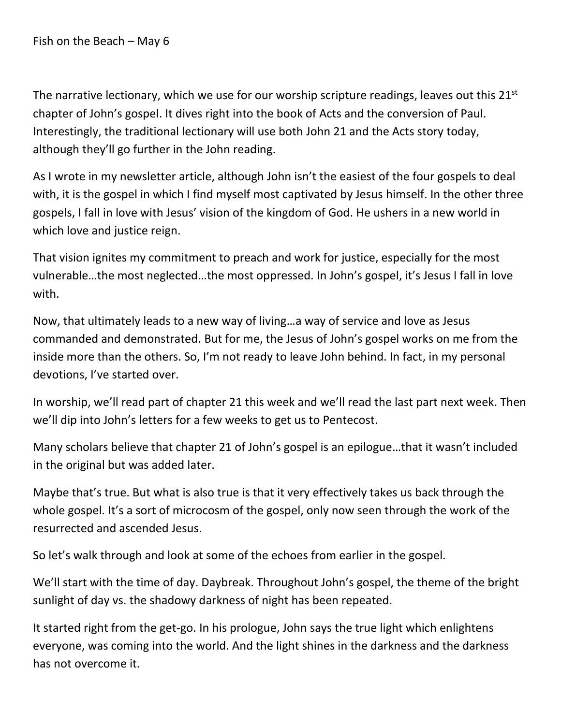Fish on the Beach – May 6

The narrative lectionary, which we use for our worship scripture readings, leaves out this  $21<sup>st</sup>$ chapter of John's gospel. It dives right into the book of Acts and the conversion of Paul. Interestingly, the traditional lectionary will use both John 21 and the Acts story today, although they'll go further in the John reading.

As I wrote in my newsletter article, although John isn't the easiest of the four gospels to deal with, it is the gospel in which I find myself most captivated by Jesus himself. In the other three gospels, I fall in love with Jesus' vision of the kingdom of God. He ushers in a new world in which love and justice reign.

That vision ignites my commitment to preach and work for justice, especially for the most vulnerable…the most neglected…the most oppressed. In John's gospel, it's Jesus I fall in love with.

Now, that ultimately leads to a new way of living…a way of service and love as Jesus commanded and demonstrated. But for me, the Jesus of John's gospel works on me from the inside more than the others. So, I'm not ready to leave John behind. In fact, in my personal devotions, I've started over.

In worship, we'll read part of chapter 21 this week and we'll read the last part next week. Then we'll dip into John's letters for a few weeks to get us to Pentecost.

Many scholars believe that chapter 21 of John's gospel is an epilogue…that it wasn't included in the original but was added later.

Maybe that's true. But what is also true is that it very effectively takes us back through the whole gospel. It's a sort of microcosm of the gospel, only now seen through the work of the resurrected and ascended Jesus.

So let's walk through and look at some of the echoes from earlier in the gospel.

We'll start with the time of day. Daybreak. Throughout John's gospel, the theme of the bright sunlight of day vs. the shadowy darkness of night has been repeated.

It started right from the get-go. In his prologue, John says the true light which enlightens everyone, was coming into the world. And the light shines in the darkness and the darkness has not overcome it.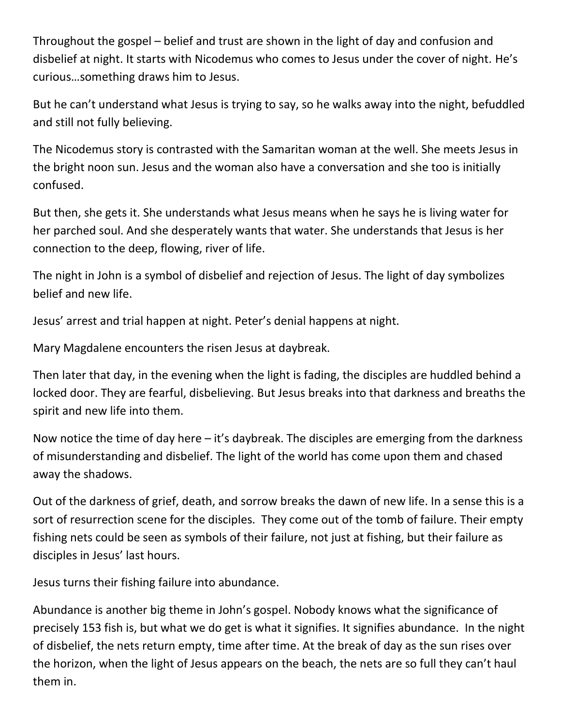Throughout the gospel – belief and trust are shown in the light of day and confusion and disbelief at night. It starts with Nicodemus who comes to Jesus under the cover of night. He's curious…something draws him to Jesus.

But he can't understand what Jesus is trying to say, so he walks away into the night, befuddled and still not fully believing.

The Nicodemus story is contrasted with the Samaritan woman at the well. She meets Jesus in the bright noon sun. Jesus and the woman also have a conversation and she too is initially confused.

But then, she gets it. She understands what Jesus means when he says he is living water for her parched soul. And she desperately wants that water. She understands that Jesus is her connection to the deep, flowing, river of life.

The night in John is a symbol of disbelief and rejection of Jesus. The light of day symbolizes belief and new life.

Jesus' arrest and trial happen at night. Peter's denial happens at night.

Mary Magdalene encounters the risen Jesus at daybreak.

Then later that day, in the evening when the light is fading, the disciples are huddled behind a locked door. They are fearful, disbelieving. But Jesus breaks into that darkness and breaths the spirit and new life into them.

Now notice the time of day here – it's daybreak. The disciples are emerging from the darkness of misunderstanding and disbelief. The light of the world has come upon them and chased away the shadows.

Out of the darkness of grief, death, and sorrow breaks the dawn of new life. In a sense this is a sort of resurrection scene for the disciples. They come out of the tomb of failure. Their empty fishing nets could be seen as symbols of their failure, not just at fishing, but their failure as disciples in Jesus' last hours.

Jesus turns their fishing failure into abundance.

Abundance is another big theme in John's gospel. Nobody knows what the significance of precisely 153 fish is, but what we do get is what it signifies. It signifies abundance. In the night of disbelief, the nets return empty, time after time. At the break of day as the sun rises over the horizon, when the light of Jesus appears on the beach, the nets are so full they can't haul them in.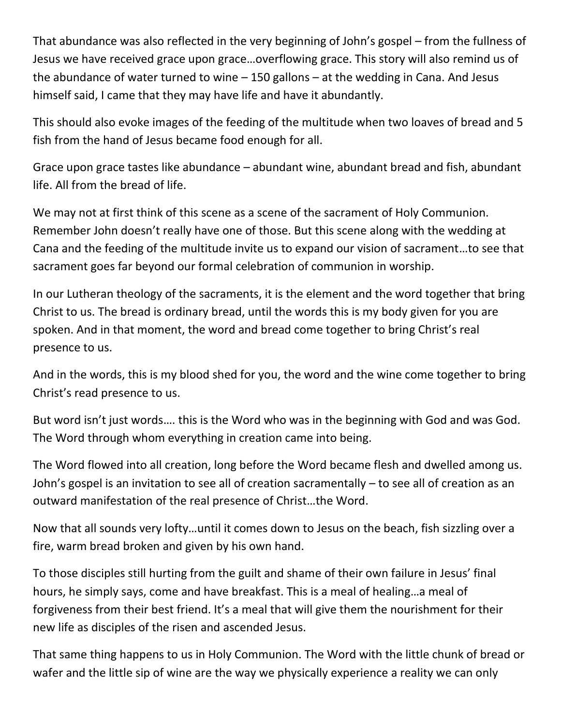That abundance was also reflected in the very beginning of John's gospel – from the fullness of Jesus we have received grace upon grace…overflowing grace. This story will also remind us of the abundance of water turned to wine – 150 gallons – at the wedding in Cana. And Jesus himself said, I came that they may have life and have it abundantly.

This should also evoke images of the feeding of the multitude when two loaves of bread and 5 fish from the hand of Jesus became food enough for all.

Grace upon grace tastes like abundance – abundant wine, abundant bread and fish, abundant life. All from the bread of life.

We may not at first think of this scene as a scene of the sacrament of Holy Communion. Remember John doesn't really have one of those. But this scene along with the wedding at Cana and the feeding of the multitude invite us to expand our vision of sacrament…to see that sacrament goes far beyond our formal celebration of communion in worship.

In our Lutheran theology of the sacraments, it is the element and the word together that bring Christ to us. The bread is ordinary bread, until the words this is my body given for you are spoken. And in that moment, the word and bread come together to bring Christ's real presence to us.

And in the words, this is my blood shed for you, the word and the wine come together to bring Christ's read presence to us.

But word isn't just words…. this is the Word who was in the beginning with God and was God. The Word through whom everything in creation came into being.

The Word flowed into all creation, long before the Word became flesh and dwelled among us. John's gospel is an invitation to see all of creation sacramentally – to see all of creation as an outward manifestation of the real presence of Christ…the Word.

Now that all sounds very lofty…until it comes down to Jesus on the beach, fish sizzling over a fire, warm bread broken and given by his own hand.

To those disciples still hurting from the guilt and shame of their own failure in Jesus' final hours, he simply says, come and have breakfast. This is a meal of healing…a meal of forgiveness from their best friend. It's a meal that will give them the nourishment for their new life as disciples of the risen and ascended Jesus.

That same thing happens to us in Holy Communion. The Word with the little chunk of bread or wafer and the little sip of wine are the way we physically experience a reality we can only